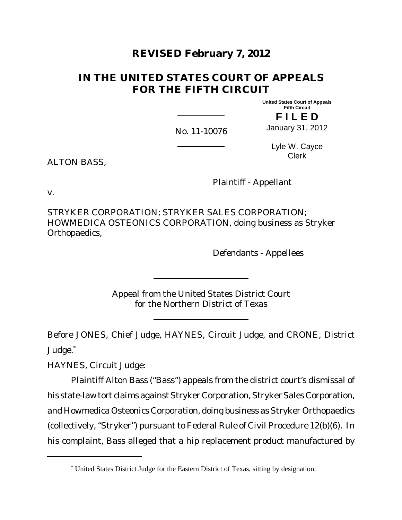# **REVISED February 7, 2012**

# **IN THE UNITED STATES COURT OF APPEALS FOR THE FIFTH CIRCUIT**

**United States Court of Appeals Fifth Circuit**

**F I L E D**

No. 11-10076

January 31, 2012

ALTON BASS,

Lyle W. Cayce Clerk

Plaintiff - Appellant

v.

STRYKER CORPORATION; STRYKER SALES CORPORATION; HOWMEDICA OSTEONICS CORPORATION, doing business as Stryker Orthopaedics,

Defendants - Appellees

Appeal from the United States District Court for the Northern District of Texas

Before JONES, Chief Judge, HAYNES, Circuit Judge, and CRONE, District Judge.<sup>\*</sup>

HAYNES, Circuit Judge:

Plaintiff Alton Bass ("Bass") appeals from the district court's dismissal of his state-law tort claims against Stryker Corporation, Stryker Sales Corporation, and Howmedica Osteonics Corporation, doing business as Stryker Orthopaedics (collectively, "Stryker") pursuant to Federal Rule of Civil Procedure 12(b)(6). In his complaint, Bass alleged that a hip replacement product manufactured by

<sup>\*</sup> United States District Judge for the Eastern District of Texas, sitting by designation.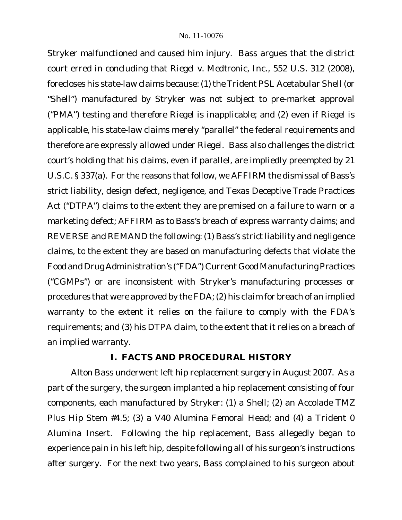Stryker malfunctioned and caused him injury. Bass argues that the district court erred in concluding that *Riegel v. Medtronic, Inc.*, 552 U.S. 312 (2008), forecloses his state-law claims because: (1) the Trident PSL Acetabular Shell (or "Shell") manufactured by Stryker was not subject to pre-market approval ("PMA") testing and therefore *Riegel* is inapplicable; and (2) even if *Riegel* is applicable, his state-law claims merely "parallel" the federal requirements and therefore are expressly allowed under *Riegel*. Bass also challenges the district court's holding that his claims, even if parallel, are impliedly preempted by 21 U.S.C. § 337(a). For the reasons that follow, we AFFIRM the dismissal of Bass's strict liability, design defect, negligence, and Texas Deceptive Trade Practices Act ("DTPA") claims to the extent they are premised on a failure to warn or a marketing defect; AFFIRM as to Bass's breach of express warranty claims; and REVERSE and REMAND the following: (1) Bass's strict liability and negligence claims, to the extent they are based on manufacturing defects that violate the Food and Drug Administration's ("FDA") Current Good Manufacturing Practices ("CGMPs") or are inconsistent with Stryker's manufacturing processes or procedures that were approved by the FDA; (2) his claim for breach of an implied warranty to the extent it relies on the failure to comply with the FDA's requirements; and (3) his DTPA claim, to the extent that it relies on a breach of an implied warranty.

# **I. FACTS AND PROCEDURAL HISTORY**

Alton Bass underwent left hip replacement surgery in August 2007. As a part of the surgery, the surgeon implanted a hip replacement consisting of four components, each manufactured by Stryker: (1) a Shell; (2) an Accolade TMZ Plus Hip Stem #4.5; (3) a V40 Alumina Femoral Head; and (4) a Trident 0 Alumina Insert. Following the hip replacement, Bass allegedly began to experience pain in his left hip, despite following all of his surgeon's instructions after surgery. For the next two years, Bass complained to his surgeon about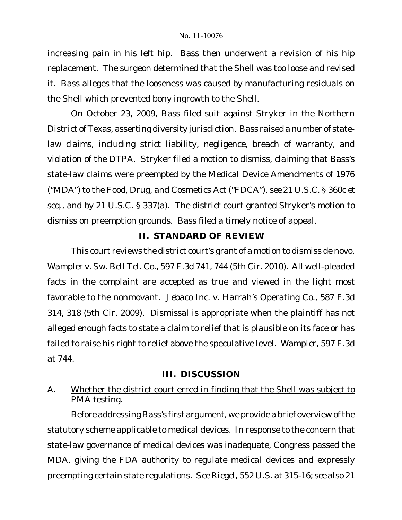increasing pain in his left hip. Bass then underwent a revision of his hip replacement. The surgeon determined that the Shell was too loose and revised it. Bass alleges that the looseness was caused by manufacturing residuals on the Shell which prevented bony ingrowth to the Shell.

On October 23, 2009, Bass filed suit against Stryker in the Northern District of Texas, asserting diversity jurisdiction. Bass raised a number of statelaw claims, including strict liability, negligence, breach of warranty, and violation of the DTPA. Stryker filed a motion to dismiss, claiming that Bass's state-law claims were preempted by the Medical Device Amendments of 1976 ("MDA") to the Food, Drug, and Cosmetics Act ("FDCA"), *see* 21 U.S.C. § 360c *et seq.*, and by 21 U.S.C. § 337(a). The district court granted Stryker's motion to dismiss on preemption grounds. Bass filed a timely notice of appeal.

# **II. STANDARD OF REVIEW**

This court reviews the district court's grant of a motion to dismiss de novo. *Wampler v. Sw. Bell Tel. Co.*, 597 F.3d 741, 744 (5th Cir. 2010). All well-pleaded facts in the complaint are accepted as true and viewed in the light most favorable to the nonmovant. *Jebaco Inc. v. Harrah's Operating Co.*, 587 F.3d 314, 318 (5th Cir. 2009). Dismissal is appropriate when the plaintiff has not alleged enough facts to state a claim to relief that is plausible on its face or has failed to raise his right to relief above the speculative level. *Wampler*, 597 F.3d at 744.

## **III. DISCUSSION**

# A. Whether the district court erred in finding that the Shell was subject to PMA testing.

Before addressing Bass's first argument, we provide a brief overview of the statutory scheme applicable to medical devices. In response to the concern that state-law governance of medical devices was inadequate, Congress passed the MDA, giving the FDA authority to regulate medical devices and expressly preempting certain state regulations. *See Riegel*, 552 U.S. at 315-16; *see also* 21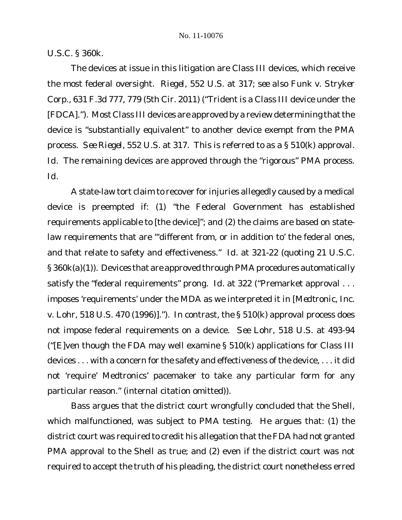U.S.C. § 360k.

The devices at issue in this litigation are Class III devices, which receive the most federal oversight. *Riegel*, 552 U.S. at 317; *see also Funk v. Stryker Corp.*, 631 F.3d 777, 779 (5th Cir. 2011) ("Trident is a Class III device under the [FDCA]."). Most Class III devices are approved by a review determining that the device is "substantially equivalent" to another device exempt from the PMA process. *See Riegel*, 552 U.S. at 317. This is referred to as a § 510(k) approval. *Id*. The remaining devices are approved through the "rigorous" PMA process. *Id*.

A state-law tort claim to recover for injuries allegedly caused by a medical device is preempted if: (1) "the Federal Government has established requirements applicable to [the device]"; and (2) the claims are based on statelaw requirements that are "'different from, or in addition to' the federal ones, and that relate to safety and effectiveness." *Id*. at 321-22 (quoting 21 U.S.C. § 360k(a)(1)). Devices that are approved through PMA procedures automatically satisfy the "federal requirements" prong. Id. at 322 ("Premarket approval . . . imposes 'requirements' under the MDA as we interpreted it in [*Medtronic, Inc. v. Lohr*, 518 U.S. 470 (1996)]."). In contrast, the § 510(k) approval process does not impose federal requirements on a device. *See Lohr*, 518 U.S. at 493-94 ("[E]ven though the FDA may well examine  $\S$  510(k) applications for Class III devices . . . with a concern for the safety and effectiveness of the device, . . . it did not 'require' Medtronics' pacemaker to take any particular form for any particular reason." (internal citation omitted)).

Bass argues that the district court wrongfully concluded that the Shell, which malfunctioned, was subject to PMA testing. He argues that: (1) the district court was required to credit his allegation that the FDA had not granted PMA approval to the Shell as true; and (2) even if the district court was not required to accept the truth of his pleading, the district court nonetheless erred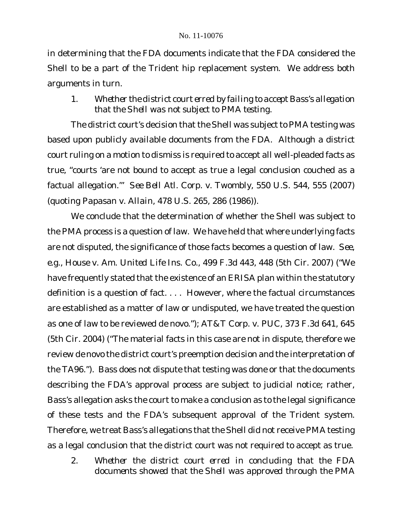in determining that the FDA documents indicate that the FDA considered the Shell to be a part of the Trident hip replacement system. We address both arguments in turn.

*1. Whether the district court erred by failing to accept Bass's allegation that the Shell was not subject to PMA testing.*

The district court's decision that the Shell was subject to PMA testing was based upon publicly available documents from the FDA. Although a district court ruling on a motion to dismiss is required to accept all well-pleaded facts as true, "courts 'are not bound to accept as true a legal conclusion couched as a factual allegation.'" *See Bell Atl. Corp. v. Twombly*, 550 U.S. 544, 555 (2007) (quoting *Papasan v. Allain*, 478 U.S. 265, 286 (1986)).

We conclude that the determination of whether the Shell was subject to the PMA process is a question of law. We have held that where underlying facts are not disputed, the significance of those facts becomes a question of law. *See, e.g.*, *House v. Am. United Life Ins. Co.*, 499 F.3d 443, 448 (5th Cir. 2007) ("We have frequently stated that the existence of an ERISA plan within the statutory definition is a question of fact. . . . However, where the factual circumstances are established as a matter of law or undisputed, we have treated the question as one of law to be reviewed *de novo*."); *AT&T Corp. v. PUC*, 373 F.3d 641, 645 (5th Cir. 2004) ("The material facts in this case are not in dispute, therefore we review *de novo* the district court's preemption decision and the interpretation of the TA96."). Bass does not dispute that testing was done or that the documents describing the FDA's approval process are subject to judicial notice; rather, Bass's allegation asks the court to make a conclusion as to the legal significance of these tests and the FDA's subsequent approval of the Trident system. Therefore, we treat Bass's allegations that the Shell did not receive PMA testing as a legal conclusion that the district court was not required to accept as true.

*2. Whether the district court erred in concluding that the FDA documents showed that the Shell was approved through the PMA*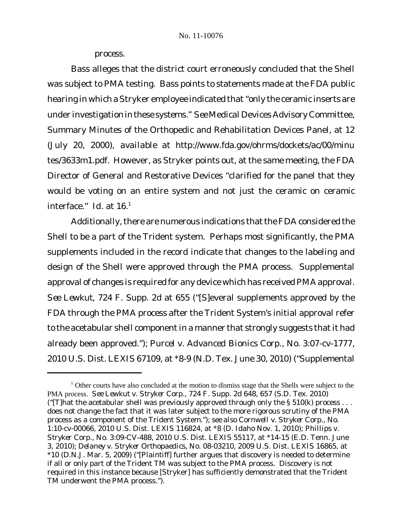*process.*

Bass alleges that the district court erroneously concluded that the Shell was subject to PMA testing. Bass points to statements made at the FDA public hearing in which a Stryker employee indicated that "only the ceramic inserts are under investigation in these systems." *See* Medical Devices Advisory Committee, Summary Minutes of the Orthopedic and Rehabilitation Devices Panel, at 12 (July 20, 2000), *available at* http://www.fda.gov/ohrms/dockets/ac/00/minu tes/3633m1.pdf. However, as Stryker points out, at the same meeting, the FDA Director of General and Restorative Devices "clarified for the panel that they would be voting on an entire system and not just the ceramic on ceramic interface." *Id.* at 16.<sup>1</sup>

Additionally, there are numerous indications that the FDA considered the Shell to be a part of the Trident system. Perhaps most significantly, the PMA supplements included in the record indicate that changes to the labeling and design of the Shell were approved through the PMA process. Supplemental approval of changes is required for any device which has received PMA approval. *See Lewkut*, 724 F. Supp. 2d at 655 ("[S]everal supplements approved by the FDA through the PMA process after the Trident System's initial approval refer to the acetabular shell component in a manner that strongly suggests that it had already been approved."); *Purcel v. Advanced Bionics Corp.*, No. 3:07-cv-1777, 2010 U.S. Dist. LEXIS 67109, at \*8-9 (N.D. Tex. June 30, 2010) ("Supplemental

<sup>&</sup>lt;sup>1</sup> Other courts have also concluded at the motion to dismiss stage that the Shells were subject to the PMA process. *See Lewkut v. Stryker Corp.*, 724 F. Supp. 2d 648, 657 (S.D. Tex. 2010) ("[T]hat the acetabular shell was previously approved through only the § 510(k) process  $\dots$ does not change the fact that it was later subject to the more rigorous scrutiny of the PMA process as a component of the Trident System."); *see also Cornwell v. Stryker Corp.*, No. 1:10-cv-00066, 2010 U.S. Dist. LEXIS 116824, at \*8 (D. Idaho Nov. 1, 2010); *Phillips v. Stryker Corp.*, No. 3:09-CV-488, 2010 U.S. Dist. LEXIS 55117, at \*14-15 (E.D. Tenn. June 3, 2010); *Delaney v. Stryker Orthopaedics*, No. 08-03210, 2009 U.S. Dist. LEXIS 16865, at \*10 (D.N.J. Mar. 5, 2009) ("[Plaintiff] further argues that discovery is needed to determine if all or only part of the Trident TM was subject to the PMA process. Discovery is not required in this instance because [Stryker] has sufficiently demonstrated that the Trident TM underwent the PMA process.").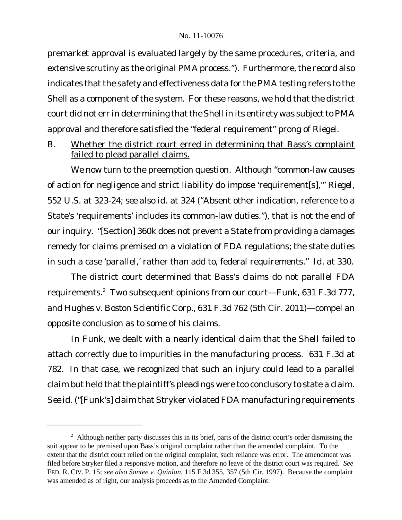premarket approval is evaluated largely by the same procedures, criteria, and extensive scrutiny as the original PMA process."). Furthermore, the record also indicates that the safety and effectiveness data for the PMA testing refers to the Shell as a component of the system. For these reasons, we hold that the district court did not err in determining that the Shell in its entirety was subject to PMA approval and therefore satisfied the "federal requirement" prong of *Riegel*.

B. Whether the district court erred in determining that Bass's complaint failed to plead parallel claims.

We now turn to the preemption question. Although "common-law causes of action for negligence and strict liability do impose 'requirement[s],'" *Riegel*, 552 U.S. at 323-24; *see also id*. at 324 ("Absent other indication, reference to a State's 'requirements' includes its common-law duties."), that is not the end of our inquiry. "[Section] 360k does not prevent a State from providing a damages remedy for claims premised on a violation of FDA regulations; the state duties in such a case 'parallel,' rather than add to, federal requirements." *Id*. at 330.

The district court determined that Bass's claims do not parallel FDA requirements.<sup>2</sup> Two subsequent opinions from our court—*Funk*, 631 F.3d 777, and *Hughes v. Boston Scientific Corp.*, 631 F.3d 762 (5th Cir. 2011)—compel an opposite conclusion as to some of his claims.

In *Funk*, we dealt with a nearly identical claim that the Shell failed to attach correctly due to impurities in the manufacturing process. 631 F.3d at 782. In that case, we recognized that such an injury could lead to a parallel claim but held that the plaintiff's pleadings were too conclusory to state a claim. *See id*. ("[Funk's] claim that Stryker violated FDA manufacturing requirements

<sup>&</sup>lt;sup>2</sup> Although neither party discusses this in its brief, parts of the district court's order dismissing the suit appear to be premised upon Bass's original complaint rather than the amended complaint. To the extent that the district court relied on the original complaint, such reliance was error. The amendment was filed before Stryker filed a responsive motion, and therefore no leave of the district court was required. *See* FED. R. CIV. P. 15; *see also Santee v. Quinlan*, 115 F.3d 355, 357 (5th Cir. 1997). Because the complaint was amended as of right, our analysis proceeds as to the Amended Complaint.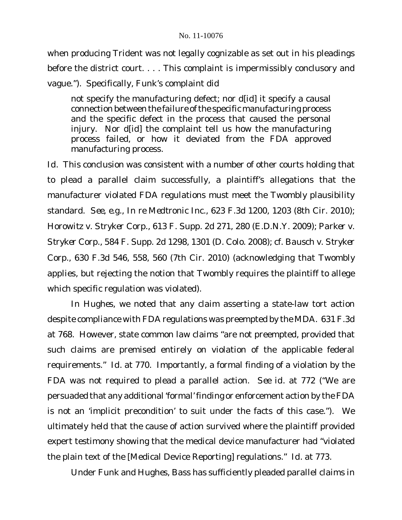when producing Trident was not legally cognizable as set out in his pleadings before the district court. . . . This complaint is impermissibly conclusory and vague."). Specifically, Funk's complaint did

not specify the manufacturing defect; nor d[id] it specify a causal connection between the failure of the specific manufacturing process and the specific defect in the process that caused the personal injury. Nor d[id] the complaint tell us how the manufacturing process failed, or how it deviated from the FDA approved manufacturing process.

*Id*. This conclusion was consistent with a number of other courts holding that to plead a parallel claim successfully, a plaintiff's allegations that the manufacturer violated FDA regulations must meet the *Twombly* plausibility standard. *See, e.g.*, *In re Medtronic Inc.*, 623 F.3d 1200, 1203 (8th Cir. 2010); *Horowitz v. Stryker Corp.*, 613 F. Supp. 2d 271, 280 (E.D.N.Y. 2009); *Parker v. Stryker Corp.*, 584 F. Supp. 2d 1298, 1301 (D. Colo. 2008); *cf. Bausch v. Stryker Corp.*, 630 F.3d 546, 558, 560 (7th Cir. 2010) (acknowledging that *Twombly* applies, but rejecting the notion that *Twombly* requires the plaintiff to allege which specific regulation was violated).

In *Hughes*, we noted that any claim asserting a state-law tort action despite compliance with FDA regulations was preempted by the MDA. 631 F.3d at 768. However, state common law claims "are not preempted, provided that such claims are premised entirely on violation of the applicable federal requirements." *Id.* at 770. Importantly, a formal finding of a violation by the FDA was not required to plead a parallel action. *See id*. at 772 ("We are persuaded that any additional 'formal' finding or enforcement action by the FDA is not an 'implicit precondition' to suit under the facts of this case."). We ultimately held that the cause of action survived where the plaintiff provided expert testimony showing that the medical device manufacturer had "violated the plain text of the [Medical Device Reporting] regulations." *Id*. at 773.

Under *Funk* and *Hughes*, Bass has sufficiently pleaded parallel claims in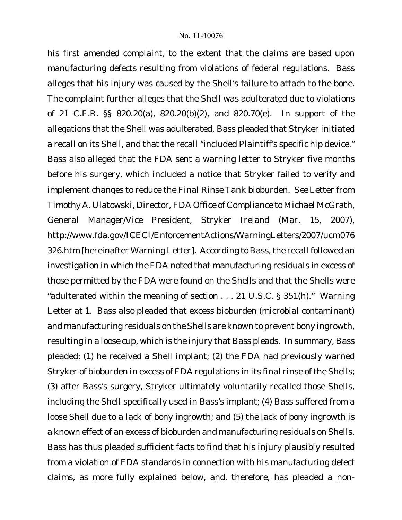his first amended complaint, to the extent that the claims are based upon manufacturing defects resulting from violations of federal regulations. Bass alleges that his injury was caused by the Shell's failure to attach to the bone. The complaint further alleges that the Shell was adulterated due to violations of 21 C.F.R. §§ 820.20(a), 820.20(b)(2), and 820.70(e). In support of the allegations that the Shell was adulterated, Bass pleaded that Stryker initiated a recall on its Shell, and that the recall "included Plaintiff's specific hip device." Bass also alleged that the FDA sent a warning letter to Stryker five months before his surgery, which included a notice that Stryker failed to verify and implement changes to reduce the Final Rinse Tank bioburden. *See* Letter from Timothy A. Ulatowski, Director, FDA Office of Compliance to Michael McGrath, General Manager/Vice President, Stryker Ireland (Mar. 15, 2007), http://www.fda.gov/ICECI/EnforcementActions/WarningLetters/2007/ucm076 326.htm [hereinafter Warning Letter]. According to Bass, the recall followed an investigation in which the FDA noted that manufacturing residuals in excess of those permitted by the FDA were found on the Shells and that the Shells were "adulterated within the meaning of section . . . 21 U.S.C. § 351(h)." Warning Letter at 1. Bass also pleaded that excess bioburden (microbial contaminant) and manufacturing residuals on the Shells are known to prevent bony ingrowth, resulting in a loose cup, which is the injury that Bass pleads. In summary, Bass pleaded: (1) he received a Shell implant; (2) the FDA had previously warned Stryker of bioburden in excess of FDA regulations in its final rinse of the Shells; (3) after Bass's surgery, Stryker ultimately voluntarily recalled those Shells, including the Shell specifically used in Bass's implant; (4) Bass suffered from a loose Shell due to a lack of bony ingrowth; and (5) the lack of bony ingrowth is a known effect of an excess of bioburden and manufacturing residuals on Shells. Bass has thus pleaded sufficient facts to find that his injury plausibly resulted from a violation of FDA standards in connection with his manufacturing defect claims, as more fully explained below, and, therefore, has pleaded a non-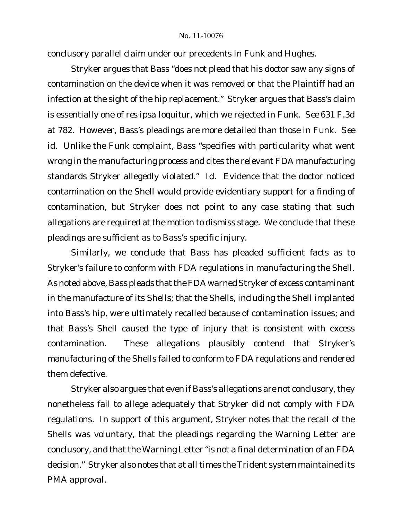conclusory parallel claim under our precedents in *Funk* and *Hughes*.

Stryker argues that Bass "does not plead that his doctor saw any signs of contamination on the device when it was removed or that the Plaintiff had an infection at the sight of the hip replacement." Stryker argues that Bass's claim is essentially one of *res ipsa loquitur*, which we rejected in *Funk*. *See* 631 F.3d at 782. However, Bass's pleadings are more detailed than those in *Funk*. *See id*. Unlike the *Funk* complaint, Bass "specifies with particularity what went wrong in the manufacturing process and cites the relevant FDA manufacturing standards Stryker allegedly violated." *Id.* Evidence that the doctor noticed contamination on the Shell would provide evidentiary support for a finding of contamination, but Stryker does not point to any case stating that such allegations are required at the motion to dismiss stage. We conclude that these pleadings are sufficient as to Bass's specific injury.

Similarly, we conclude that Bass has pleaded sufficient facts as to Stryker's failure to conform with FDA regulations in manufacturing the Shell. As noted above, Bass pleads that the FDA warned Stryker of excess contaminant in the manufacture of its Shells; that the Shells, including the Shell implanted into Bass's hip, were ultimately recalled because of contamination issues; and that Bass's Shell caused the type of injury that is consistent with excess contamination. These allegations plausibly contend that Stryker's manufacturing of the Shells failed to conform to FDA regulations and rendered them defective.

Stryker also argues that even if Bass's allegations are not conclusory, they nonetheless fail to allege adequately that Stryker did not comply with FDA regulations. In support of this argument, Stryker notes that the recall of the Shells was voluntary, that the pleadings regarding the Warning Letter are conclusory, and that the Warning Letter "is not a final determination of an FDA decision." Stryker also notes that at all times the Trident system maintained its PMA approval.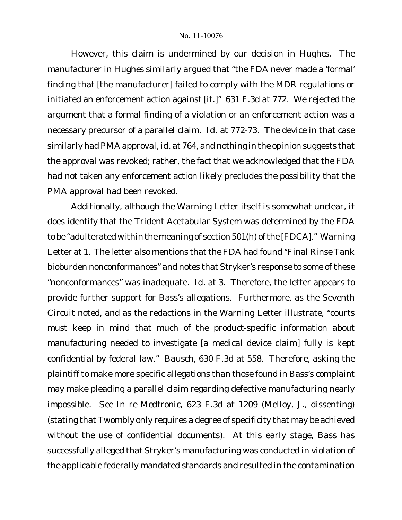However, this claim is undermined by our decision in *Hughes*. The manufacturer in *Hughes* similarly argued that "the FDA never made a 'formal' finding that [the manufacturer] failed to comply with the MDR regulations or initiated an enforcement action against [it.]" 631 F.3d at 772. We rejected the argument that a formal finding of a violation or an enforcement action was a necessary precursor of a parallel claim. *Id*. at 772-73. The device in that case similarly had PMA approval, *id*. at 764, and nothing in the opinion suggests that the approval was revoked; rather, the fact that we acknowledged that the FDA had not taken any enforcement action likely precludes the possibility that the PMA approval had been revoked.

Additionally, although the Warning Letter itself is somewhat unclear, it does identify that the Trident Acetabular System was determined by the FDA to be "adulterated within the meaning of section 501(h) of the [FDCA]." Warning Letter at 1. The letter also mentions that the FDA had found "Final Rinse Tank bioburden nonconformances" and notes that Stryker's response to some of these "nonconformances" was inadequate. *Id*. at 3. Therefore, the letter appears to provide further support for Bass's allegations. Furthermore, as the Seventh Circuit noted, and as the redactions in the Warning Letter illustrate, "courts must keep in mind that much of the product-specific information about manufacturing needed to investigate [a medical device claim] fully is kept confidential by federal law." *Bausch*, 630 F.3d at 558. Therefore, asking the plaintiff to make more specific allegations than those found in Bass's complaint may make pleading a parallel claim regarding defective manufacturing nearly impossible. *See In re Medtronic*, 623 F.3d at 1209 (Melloy, J., dissenting) (stating that *Twombly* only requires a degree of specificity that may be achieved without the use of confidential documents). At this early stage, Bass has successfully alleged that Stryker's manufacturing was conducted in violation of the applicable federally mandated standards and resulted in the contamination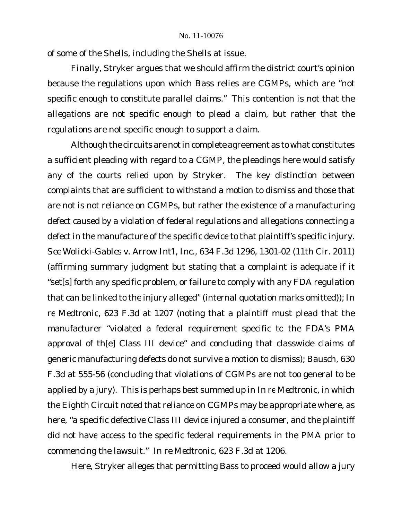of some of the Shells, including the Shells at issue.

Finally, Stryker argues that we should affirm the district court's opinion because the regulations upon which Bass relies are CGMPs, which are "not specific enough to constitute parallel claims." This contention is not that the *allegations* are not specific enough to plead a claim, but rather that the *regulations* are not specific enough to support a claim.

Although the circuits are not in complete agreement as to what constitutes a sufficient pleading with regard to a CGMP, the pleadings here would satisfy any of the courts relied upon by Stryker. The key distinction between complaints that are sufficient to withstand a motion to dismiss and those that are not is not reliance on CGMPs, but rather the existence of a manufacturing defect caused by a violation of federal regulations *and* allegations connecting a defect in the manufacture of the specific device to that plaintiff's specific injury. *See Wolicki-Gables v. Arrow Int'l, Inc.*, 634 F.3d 1296, 1301-02 (11th Cir. 2011) (affirming summary judgment but stating that a complaint is adequate if it "set[s] forth any specific problem, or failure to comply with any FDA regulation that can be linked to the injury alleged" (internal quotation marks omitted)); *In re Medtronic*, 623 F.3d at 1207 (noting that a plaintiff must plead that the manufacturer "violated a federal requirement specific to the FDA's PMA approval of th[e] Class III device" and concluding that classwide claims of generic manufacturing defects do not survive a motion to dismiss); *Bausch*, 630 F.3d at 555-56 (concluding that violations of CGMPs are not too general to be applied by a jury). This is perhaps best summed up in *In re Medtronic*, in which the Eighth Circuit noted that reliance on CGMPs may be appropriate where, as here, "a specific defective Class III device injured a consumer, and the plaintiff did not have access to the specific federal requirements in the PMA prior to commencing the lawsuit." *In re Medtronic*, 623 F.3d at 1206.

Here, Stryker alleges that permitting Bass to proceed would allow a jury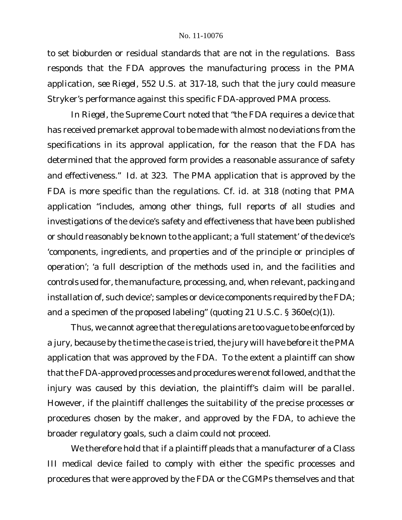to set bioburden or residual standards that are not in the regulations. Bass responds that the FDA approves the manufacturing process in the PMA application, *see Riegel*, 552 U.S. at 317-18, such that the jury could measure Stryker's performance against this specific FDA-approved PMA process.

In *Riegel*, the Supreme Court noted that "the FDA requires a device that has received premarket approval to be made with almost no deviations from the specifications in its approval application, for the reason that the FDA has determined that the approved form provides a reasonable assurance of safety and effectiveness." *Id.* at 323. The PMA application that is approved by the FDA is more specific than the regulations. *Cf. id.* at 318 (noting that PMA application "includes, among other things, full reports of all studies and investigations of the device's safety and effectiveness that have been published or should reasonably be known to the applicant; a 'full statement' of the device's 'components, ingredients, and properties and of the principle or principles of operation'; 'a full description of the methods used in, and the facilities and controls used for, the manufacture, processing, and, when relevant, packing and installation of, such device'; samples or device components required by the FDA; and a specimen of the proposed labeling" (quoting 21 U.S.C. § 360e(c)(1)).

Thus, we cannot agree that the regulations are too vague to be enforced by a jury, because by the time the case is tried, the jury will have before it the PMA application that was approved by the FDA. To the extent a plaintiff can show that the FDA-approved processes and procedures were not followed, and that the injury was caused by this deviation, the plaintiff's claim will be parallel. However, if the plaintiff challenges the suitability of the precise processes or procedures chosen by the maker, and approved by the FDA, to achieve the broader regulatory goals, such a claim could not proceed.

We therefore hold that if a plaintiff pleads that a manufacturer of a Class III medical device failed to comply with either the specific processes and procedures that were approved by the FDA or the CGMPs themselves *and* that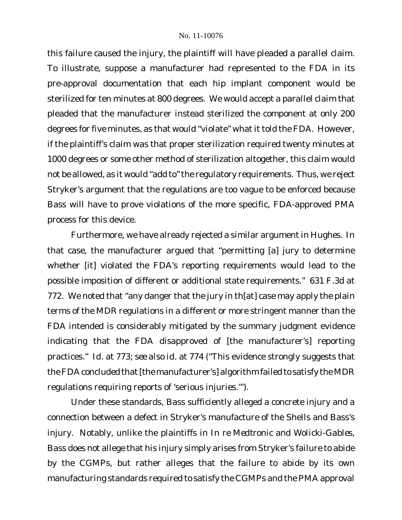this failure caused the injury, the plaintiff will have pleaded a parallel claim. To illustrate, suppose a manufacturer had represented to the FDA in its pre-approval documentation that each hip implant component would be sterilized for ten minutes at 800 degrees. We would accept a parallel claim that pleaded that the manufacturer instead sterilized the component at only 200 degrees for five minutes, as that would "violate" what it told the FDA. However, if the plaintiff's claim was that proper sterilization required twenty minutes at 1000 degrees or some other method of sterilization altogether, this claim would not be allowed, as it would "add to"the regulatory requirements. Thus, we reject Stryker's argument that the regulations are too vague to be enforced because Bass will have to prove violations of the more specific, FDA-approved PMA process for this device.

Furthermore, we have already rejected a similar argument in *Hughes*. In that case, the manufacturer argued that "permitting [a] jury to determine whether [it] violated the FDA's reporting requirements would lead to the possible imposition of different or additional state requirements." 631 F.3d at 772. We noted that "any danger that the jury in th[at] case may apply the plain terms of the MDR regulations in a different or more stringent manner than the FDA intended is considerably mitigated by the summary judgment evidence indicating that the FDA disapproved of [the manufacturer's] reporting practices." *Id*. at 773; *see also id.* at 774 ("This evidence strongly suggests that the FDA concluded that [the manufacturer's] algorithm failed to satisfy the MDR regulations requiring reports of 'serious injuries.'").

Under these standards, Bass sufficiently alleged a concrete injury and a connection between a defect in Stryker's manufacture of the Shells and Bass's injury. Notably, unlike the plaintiffs in *In re Medtronic* and *Wolicki-Gables*, Bass does not allege that his injury simply arises from Stryker's failure to abide by the CGMPs, but rather alleges that the failure to abide by its own manufacturing standards required to satisfy the CGMPs and the PMA approval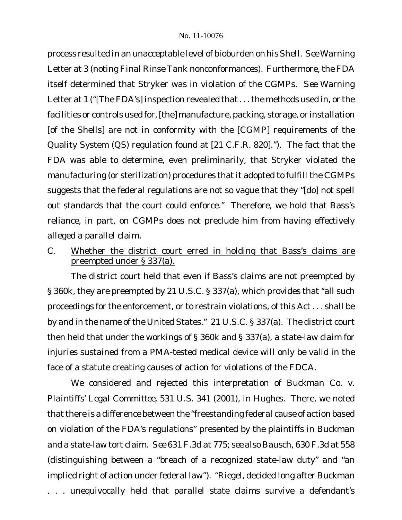process resulted in an unacceptable level of bioburden on his Shell. *See* Warning Letter at 3 (noting Final Rinse Tank nonconformances). Furthermore, the FDA itself determined that Stryker was in violation of the CGMPs. *See* Warning Letter at 1 ("[The FDA's] inspection revealed that . . . the methods used in, or the facilities or controls used for, [the] manufacture, packing, storage, or installation [of the Shells] are not in conformity with the [CGMP] requirements of the Quality System (QS) regulation found at [21 C.F.R. 820]."). The fact that the FDA was able to determine, even preliminarily, that Stryker violated the manufacturing (or sterilization) procedures that it adopted to fulfill the CGMPs suggests that the federal regulations are not so vague that they "[do] not spell out standards that the court could enforce." Therefore, we hold that Bass's reliance, in part, on CGMPs does not preclude him from having effectively alleged a parallel claim.

C. Whether the district court erred in holding that Bass's claims are preempted under § 337(a).

The district court held that even if Bass's claims are not preempted by § 360k, they are preempted by 21 U.S.C. § 337(a), which provides that "all such proceedings for the enforcement, or to restrain violations, of this Act . . . shall be by and in the name of the United States." 21 U.S.C. § 337(a). The district court then held that under the workings of § 360k and § 337(a), a state-law claim for injuries sustained from a PMA-tested medical device will only be valid in the face of a statute creating causes of action for violations of the FDCA.

We considered and rejected this interpretation of *Buckman Co. v. Plaintiffs' Legal Committee*, 531 U.S. 341 (2001), in *Hughes*. There, we noted that there is a difference between the "freestanding federal cause of action based on violation of the FDA's regulations" presented by the plaintiffs in *Buckman* and a state-law tort claim. *See* 631 F.3d at 775; *see also Bausch*, 630 F.3d at 558 (distinguishing between a "breach of a recognized state-law duty" and "an implied right of action under federal law"). "*Riegel*, decided long after *Buckman* . . . unequivocally held that parallel state claims survive a defendant's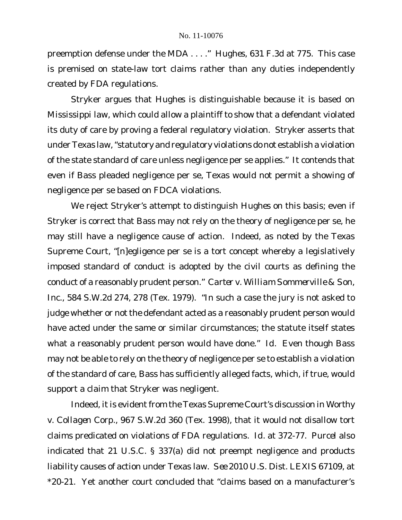preemption defense under the MDA . . . ." *Hughes*, 631 F.3d at 775. This case is premised on state-law tort claims rather than any duties independently created by FDA regulations.

Stryker argues that *Hughes* is distinguishable because it is based on Mississippi law, which could allow a plaintiff to show that a defendant violated its duty of care by proving a federal regulatory violation. Stryker asserts that under Texas law, "statutory and regulatory violations do not establish a violation of the state standard of care unless negligence per se applies." It contends that even if Bass pleaded negligence per se, Texas would not permit a showing of negligence per se based on FDCA violations.

We reject Stryker's attempt to distinguish *Hughes* on this basis; even if Stryker is correct that Bass may not rely on the theory of negligence per se, he may still have a negligence cause of action. Indeed, as noted by the Texas Supreme Court, "[n]egligence per se is a tort concept whereby a legislatively imposed standard of conduct is adopted by the civil courts as defining the conduct of a reasonably prudent person." *Carter v. William Sommerville & Son, Inc.*, 584 S.W.2d 274, 278 (Tex. 1979). "In such a case the jury is not asked to judge whether or not the defendant acted as a reasonably prudent person would have acted under the same or similar circumstances; the statute itself states what a reasonably prudent person would have done." *Id.* Even though Bass may not be able to rely on the theory of negligence per se to establish a violation of the standard of care, Bass has sufficiently alleged facts, which, if true, would support a claim that Stryker was negligent.

Indeed, it is evident from the Texas Supreme Court's discussion in Worthy *v. Collagen Corp.*, 967 S.W.2d 360 (Tex. 1998), that it would not disallow tort claims predicated on violations of FDA regulations. *Id.* at 372-77. *Purcel* also indicated that 21 U.S.C. § 337(a) did not preempt negligence and products liability causes of action under Texas law. *See* 2010 U.S. Dist. LEXIS 67109, at \*20-21. Yet another court concluded that "claims based on a manufacturer's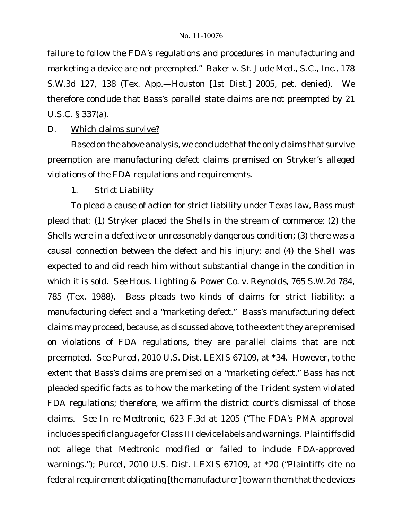failure to follow the FDA's regulations and procedures in manufacturing and marketing a device are not preempted." *Baker v. St. Jude Med., S.C., Inc.*, 178 S.W.3d 127, 138 (Tex. App.—Houston [1st Dist.] 2005, pet. denied). We therefore conclude that Bass's parallel state claims are not preempted by 21 U.S.C. § 337(a).

## D. Which claims survive?

Based on the above analysis, we conclude that the only claims that survive preemption are manufacturing defect claims premised on Stryker's alleged violations of the FDA regulations and requirements.

# *1. Strict Liability*

To plead a cause of action for strict liability under Texas law, Bass must plead that: (1) Stryker placed the Shells in the stream of commerce; (2) the Shells were in a defective or unreasonably dangerous condition; (3) there was a causal connection between the defect and his injury; and (4) the Shell was expected to and did reach him without substantial change in the condition in which it is sold. *See Hous. Lighting & Power Co. v. Reynolds*, 765 S.W.2d 784, 785 (Tex. 1988). Bass pleads two kinds of claims for strict liability: a manufacturing defect and a "marketing defect." Bass's manufacturing defect claims may proceed, because, as discussed above, to the extent they are premised on violations of FDA regulations, they are parallel claims that are not preempted. *See Purcel*, 2010 U.S. Dist. LEXIS 67109, at \*34. However, to the extent that Bass's claims are premised on a "marketing defect," Bass has not pleaded specific facts as to how the marketing of the Trident system violated FDA regulations; therefore, we affirm the district court's dismissal of those claims. *See In re Medtronic*, 623 F.3d at 1205 ("The FDA's PMA approval includes specific language for Class III device labels and warnings. Plaintiffs did not allege that Medtronic modified or failed to include FDA-approved warnings."); *Purcel*, 2010 U.S. Dist. LEXIS 67109, at \*20 ("Plaintiffs cite no federal requirement obligating [the manufacturer] to warn them that the devices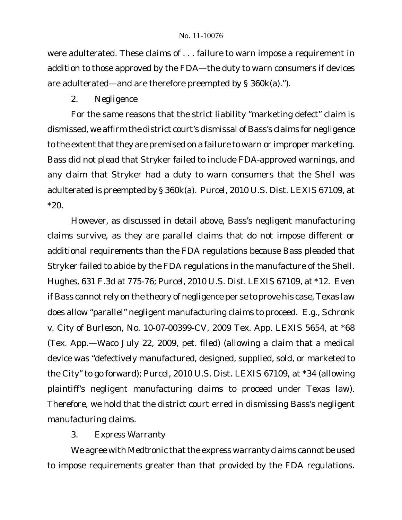were adulterated. These claims of . . . failure to warn impose a requirement in addition to those approved by the FDA—the duty to warn consumers if devices are adulterated—and are therefore preempted by § 360k(a).").

# *2. Negligence*

For the same reasons that the strict liability "marketing defect" claim is dismissed, we affirm the district court's dismissal of Bass's claims for negligence to the extent that they are premised on a failure to warn or improper marketing. Bass did not plead that Stryker failed to include FDA-approved warnings, and any claim that Stryker had a duty to warn consumers that the Shell was adulterated is preempted by § 360k(a). *Purcel*, 2010 U.S. Dist. LEXIS 67109, at  $*20.$ 

However, as discussed in detail above, Bass's negligent manufacturing claims survive, as they are parallel claims that do not impose different or additional requirements than the FDA regulations because Bass pleaded that Stryker failed to abide by the FDA regulations in the manufacture of the Shell. *Hughes*, 631 F.3d at 775-76; *Purcel*, 2010 U.S. Dist. LEXIS 67109, at \*12. Even if Bass cannot rely on the theory of negligence per se to prove his case, Texas law does allow "parallel" negligent manufacturing claims to proceed. *E.g.*, *Schronk v. City of Burleson*, No. 10-07-00399-CV, 2009 Tex. App. LEXIS 5654, at \*68 (Tex. App.—Waco July 22, 2009, pet. filed) (allowing a claim that a medical device was "defectively manufactured, designed, supplied, sold, or marketed to the City" to go forward); *Purcel*, 2010 U.S. Dist. LEXIS 67109, at \*34 (allowing plaintiff's negligent manufacturing claims to proceed under Texas law). Therefore, we hold that the district court erred in dismissing Bass's negligent manufacturing claims.

# *3. Express Warranty*

We agree with Medtronic that the express warranty claims cannot be used to impose requirements greater than that provided by the FDA regulations.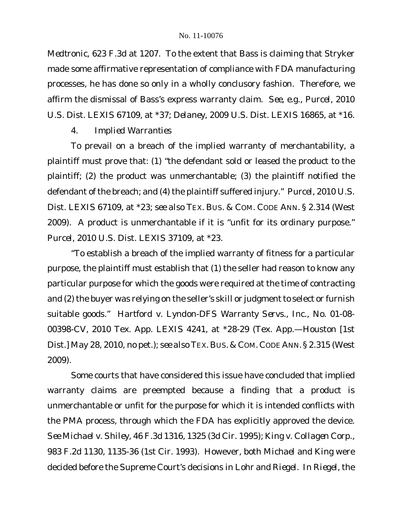*Medtronic*, 623 F.3d at 1207. To the extent that Bass is claiming that Stryker made some affirmative representation of compliance with FDA manufacturing processes, he has done so only in a wholly conclusory fashion. Therefore, we affirm the dismissal of Bass's express warranty claim. *See, e.g.*, *Purcel*, 2010 U.S. Dist. LEXIS 67109, at \*37; *Delaney*, 2009 U.S. Dist. LEXIS 16865, at \*16.

*4. Implied Warranties*

To prevail on a breach of the implied warranty of merchantability, a plaintiff must prove that: (1) "the defendant sold or leased the product to the plaintiff; (2) the product was unmerchantable; (3) the plaintiff notified the defendant of the breach; and (4) the plaintiff suffered injury." *Purcel*, 2010 U.S. Dist. LEXIS 67109, at \*23; *see also* TEX. BUS. & COM. CODE ANN. § 2.314 (West 2009). A product is unmerchantable if it is "unfit for its ordinary purpose." *Purcel*, 2010 U.S. Dist. LEXIS 37109, at \*23.

"To establish a breach of the implied warranty of fitness for a particular purpose, the plaintiff must establish that (1) the seller had reason to know any particular purpose for which the goods were required at the time of contracting and (2) the buyer was relying on the seller's skill or judgment to select or furnish suitable goods." *Hartford v. Lyndon-DFS Warranty Servs.*, *Inc.*, No. 01-08- 00398-CV, 2010 Tex. App. LEXIS 4241, at \*28-29 (Tex. App.—Houston [1st Dist.] May 28, 2010, no pet.); *see also* TEX. BUS. & COM. CODE ANN. § 2.315 (West 2009).

Some courts that have considered this issue have concluded that implied warranty claims are preempted because a finding that a product is unmerchantable or unfit for the purpose for which it is intended conflicts with the PMA process, through which the FDA has explicitly approved the device. *See Michael v. Shiley*, 46 F.3d 1316, 1325 (3d Cir. 1995); *King v. Collagen Corp.*, 983 F.2d 1130, 1135-36 (1st Cir. 1993). However, both *Michael* and *King* were decided before the Supreme Court's decisions in *Lohr* and *Riegel*. In *Riegel*, the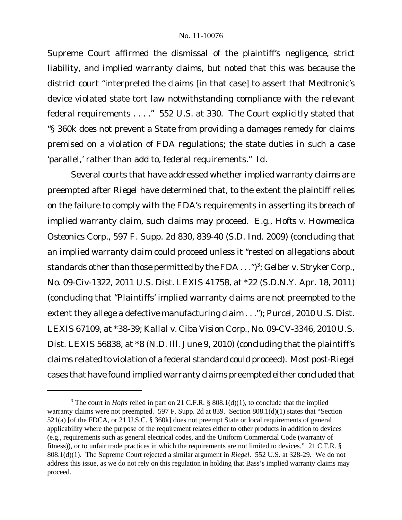Supreme Court affirmed the dismissal of the plaintiff's negligence, strict liability, and implied warranty claims, but noted that this was because the district court "interpreted the claims [in that case] to assert that Medtronic's device violated state tort law notwithstanding compliance with the relevant federal requirements . . . ." 552 U.S. at 330. The Court explicitly stated that "§ 360k does not prevent a State from providing a damages remedy for claims premised on a violation of FDA regulations; the state duties in such a case 'parallel,' rather than add to, federal requirements." *Id.*

Several courts that have addressed whether implied warranty claims are preempted after *Riegel* have determined that, to the extent the plaintiff relies on the failure to comply with the FDA's requirements in asserting its breach of implied warranty claim, such claims may proceed. *E.g., Hofts v. Howmedica Osteonics Corp.*, 597 F. Supp. 2d 830, 839-40 (S.D. Ind. 2009) (concluding that an implied warranty claim could proceed unless it "rested on allegations about standards other than those permitted by the FDA . . .")<sup>3</sup>; Gelber v. Stryker Corp., No. 09-Civ-1322, 2011 U.S. Dist. LEXIS 41758, at \*22 (S.D.N.Y. Apr. 18, 2011) (concluding that "Plaintiffs' implied warranty claims are not preempted to the extent they allege a defective manufacturing claim . . ."); *Purcel*, 2010 U.S. Dist. LEXIS 67109, at \*38-39; *Kallal v. Ciba Vision Corp.*, No. 09-CV-3346, 2010 U.S. Dist. LEXIS 56838, at \*8 (N.D. Ill. June 9, 2010) (concluding that the plaintiff's claims related to violation of a federal standard could proceed). Most post-*Riegel* cases that have found implied warranty claims preempted either concluded that

<sup>&</sup>lt;sup>3</sup> The court in *Hofts* relied in part on 21 C.F.R. §  $808.1(d)(1)$ , to conclude that the implied warranty claims were not preempted. 597 F. Supp. 2d at 839. Section 808.1(d)(1) states that "Section 521(a) [of the FDCA, or 21 U.S.C. § 360k] does not preempt State or local requirements of general applicability where the purpose of the requirement relates either to other products in addition to devices (e.g., requirements such as general electrical codes, and the Uniform Commercial Code (warranty of fitness)), or to unfair trade practices in which the requirements are not limited to devices." 21 C.F.R. § 808.1(d)(1). The Supreme Court rejected a similar argument in *Riegel*. 552 U.S. at 328-29. We do not address this issue, as we do not rely on this regulation in holding that Bass's implied warranty claims may proceed.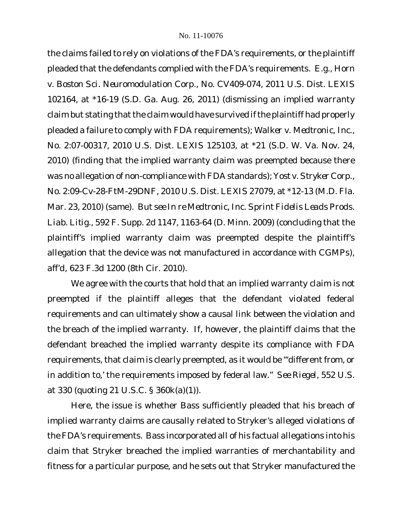the claims failed to rely on violations of the FDA's requirements, or the plaintiff pleaded that the defendants complied with the FDA's requirements. *E.g.*, *Horn v. Boston Sci. Neuromodulation Corp.*, No. CV409-074, 2011 U.S. Dist. LEXIS 102164, at \*16-19 (S.D. Ga. Aug. 26, 2011) (dismissing an implied warranty claim but stating that the claim would have survived if the plaintiff had properly pleaded a failure to comply with FDA requirements); *Walker v. Medtronic, Inc.*, No. 2:07-00317, 2010 U.S. Dist. LEXIS 125103, at \*21 (S.D. W. Va. Nov. 24, 2010) (finding that the implied warranty claim was preempted because there was no allegation of non-compliance with FDA standards); *Yost v. Stryker Corp.*, No. 2:09-Cv-28-FtM-29DNF, 2010 U.S. Dist. LEXIS 27079, at \*12-13 (M.D. Fla. Mar. 23, 2010) (same). *But see In re Medtronic, Inc. Sprint Fidelis Leads Prods. Liab. Litig.*, 592 F. Supp. 2d 1147, 1163-64 (D. Minn. 2009) (concluding that the plaintiff's implied warranty claim was preempted despite the plaintiff's allegation that the device was not manufactured in accordance with CGMPs), *aff'd*, 623 F.3d 1200 (8th Cir. 2010).

We agree with the courts that hold that an implied warranty claim is not preempted if the plaintiff alleges that the defendant violated federal requirements *and* can ultimately show a causal link between the violation and the breach of the implied warranty. If, however, the plaintiff claims that the defendant breached the implied warranty despite its compliance with FDA requirements, that claim is clearly preempted, as it would be "'different from, or in addition to,' the requirements imposed by federal law." *See Riegel*, 552 U.S. at 330 (quoting 21 U.S.C. § 360k(a)(1)).

Here, the issue is whether Bass sufficiently pleaded that his breach of implied warranty claims are causally related to Stryker's alleged violations of the FDA's requirements. Bass incorporated all of his factual allegations into his claim that Stryker breached the implied warranties of merchantability and fitness for a particular purpose, and he sets out that Stryker manufactured the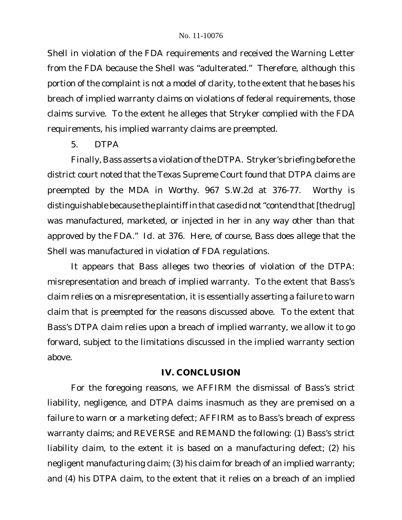Shell in violation of the FDA requirements and received the Warning Letter from the FDA because the Shell was "adulterated." Therefore, although this portion of the complaint is not a model of clarity, to the extent that he bases his breach of implied warranty claims on violations of federal requirements, those claims survive. To the extent he alleges that Stryker complied with the FDA requirements, his implied warranty claims are preempted.

## *5. DTPA*

Finally, Bass asserts a violation ofthe DTPA. Stryker's briefing before the district court noted that the Texas Supreme Court found that DTPA claims are preempted by the MDA in *Worthy.* 967 S.W.2d at 376-77. *Worthy* is distinguishable because the plaintiff in that case did not "contend that [the drug] was manufactured, marketed, or injected in her in any way other than that approved by the FDA." *Id.* at 376. Here, of course, Bass does allege that the Shell was manufactured in violation of FDA regulations.

It appears that Bass alleges two theories of violation of the DTPA: misrepresentation and breach of implied warranty. To the extent that Bass's claim relies on a misrepresentation, it is essentially asserting a failure to warn claim that is preempted for the reasons discussed above. To the extent that Bass's DTPA claim relies upon a breach of implied warranty, we allow it to go forward, subject to the limitations discussed in the implied warranty section above.

# **IV. CONCLUSION**

For the foregoing reasons, we AFFIRM the dismissal of Bass's strict liability, negligence, and DTPA claims inasmuch as they are premised on a failure to warn or a marketing defect; AFFIRM as to Bass's breach of express warranty claims; and REVERSE and REMAND the following: (1) Bass's strict liability claim, to the extent it is based on a manufacturing defect; (2) his negligent manufacturing claim; (3) his claim for breach of an implied warranty; and (4) his DTPA claim, to the extent that it relies on a breach of an implied